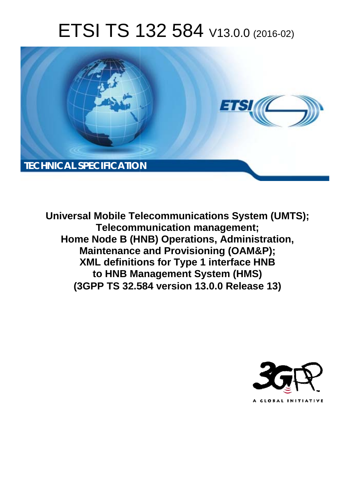# ETSI TS 132 584 V13.0.0 (2016-02)



**Universal Mobile Tel elecommunications System ( (UMTS); Telecomm munication management; Home Node B (HN (HNB) Operations, Administrat ration, Maintenance and Provisioning (OAM&P);** Maintenance and Provisioning (OAM&P);<br>XML definitions for Type 1 interface HNB **to HNB Ma anagement System (HMS) (3GPP TS 32.5 .584 version 13.0.0 Release 13 13)** 

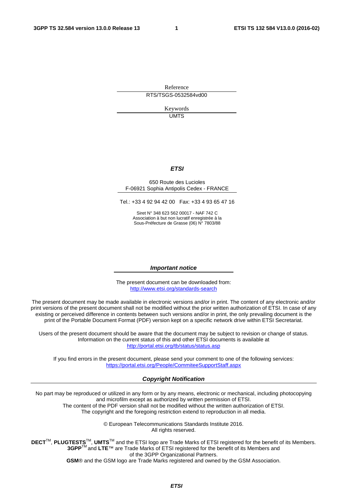Reference RTS/TSGS-0532584vd00

> Keywords UMTS

#### *ETSI*

#### 650 Route des Lucioles F-06921 Sophia Antipolis Cedex - FRANCE

Tel.: +33 4 92 94 42 00 Fax: +33 4 93 65 47 16

Siret N° 348 623 562 00017 - NAF 742 C Association à but non lucratif enregistrée à la Sous-Préfecture de Grasse (06) N° 7803/88

#### *Important notice*

The present document can be downloaded from: <http://www.etsi.org/standards-search>

The present document may be made available in electronic versions and/or in print. The content of any electronic and/or print versions of the present document shall not be modified without the prior written authorization of ETSI. In case of any existing or perceived difference in contents between such versions and/or in print, the only prevailing document is the print of the Portable Document Format (PDF) version kept on a specific network drive within ETSI Secretariat.

Users of the present document should be aware that the document may be subject to revision or change of status. Information on the current status of this and other ETSI documents is available at <http://portal.etsi.org/tb/status/status.asp>

If you find errors in the present document, please send your comment to one of the following services: <https://portal.etsi.org/People/CommiteeSupportStaff.aspx>

#### *Copyright Notification*

No part may be reproduced or utilized in any form or by any means, electronic or mechanical, including photocopying and microfilm except as authorized by written permission of ETSI.

The content of the PDF version shall not be modified without the written authorization of ETSI. The copyright and the foregoing restriction extend to reproduction in all media.

> © European Telecommunications Standards Institute 2016. All rights reserved.

**DECT**TM, **PLUGTESTS**TM, **UMTS**TM and the ETSI logo are Trade Marks of ETSI registered for the benefit of its Members. **3GPP**TM and **LTE**™ are Trade Marks of ETSI registered for the benefit of its Members and of the 3GPP Organizational Partners.

**GSM**® and the GSM logo are Trade Marks registered and owned by the GSM Association.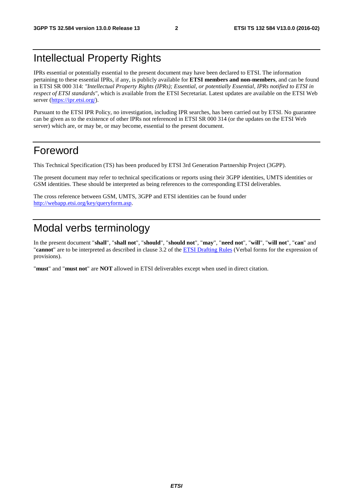# Intellectual Property Rights

IPRs essential or potentially essential to the present document may have been declared to ETSI. The information pertaining to these essential IPRs, if any, is publicly available for **ETSI members and non-members**, and can be found in ETSI SR 000 314: *"Intellectual Property Rights (IPRs); Essential, or potentially Essential, IPRs notified to ETSI in respect of ETSI standards"*, which is available from the ETSI Secretariat. Latest updates are available on the ETSI Web server [\(https://ipr.etsi.org/\)](https://ipr.etsi.org/).

Pursuant to the ETSI IPR Policy, no investigation, including IPR searches, has been carried out by ETSI. No guarantee can be given as to the existence of other IPRs not referenced in ETSI SR 000 314 (or the updates on the ETSI Web server) which are, or may be, or may become, essential to the present document.

## Foreword

This Technical Specification (TS) has been produced by ETSI 3rd Generation Partnership Project (3GPP).

The present document may refer to technical specifications or reports using their 3GPP identities, UMTS identities or GSM identities. These should be interpreted as being references to the corresponding ETSI deliverables.

The cross reference between GSM, UMTS, 3GPP and ETSI identities can be found under [http://webapp.etsi.org/key/queryform.asp.](http://webapp.etsi.org/key/queryform.asp)

# Modal verbs terminology

In the present document "**shall**", "**shall not**", "**should**", "**should not**", "**may**", "**need not**", "**will**", "**will not**", "**can**" and "**cannot**" are to be interpreted as described in clause 3.2 of the [ETSI Drafting Rules](http://portal.etsi.org/Help/editHelp!/Howtostart/ETSIDraftingRules.aspx) (Verbal forms for the expression of provisions).

"**must**" and "**must not**" are **NOT** allowed in ETSI deliverables except when used in direct citation.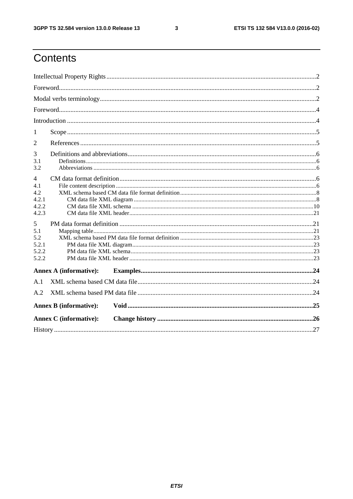$\mathbf{3}$ 

# Contents

| 1                                          |                               |  |  |  |  |
|--------------------------------------------|-------------------------------|--|--|--|--|
| 2                                          |                               |  |  |  |  |
| 3<br>3.1<br>3.2                            |                               |  |  |  |  |
| 4<br>4.1<br>4.2<br>4.2.1<br>4.2.2<br>4.2.3 |                               |  |  |  |  |
| 5<br>5.1<br>5.2<br>5.2.1<br>5.2.2<br>5.2.2 |                               |  |  |  |  |
|                                            | <b>Annex A (informative):</b> |  |  |  |  |
| A.1                                        |                               |  |  |  |  |
| A.2                                        |                               |  |  |  |  |
|                                            | <b>Annex B</b> (informative): |  |  |  |  |
|                                            | <b>Annex C</b> (informative): |  |  |  |  |
|                                            |                               |  |  |  |  |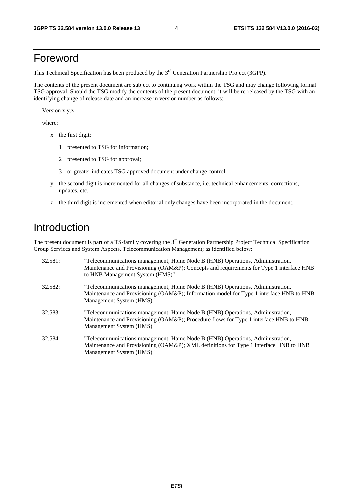# Foreword

This Technical Specification has been produced by the 3<sup>rd</sup> Generation Partnership Project (3GPP).

The contents of the present document are subject to continuing work within the TSG and may change following formal TSG approval. Should the TSG modify the contents of the present document, it will be re-released by the TSG with an identifying change of release date and an increase in version number as follows:

Version x.y.z

where:

- x the first digit:
	- 1 presented to TSG for information;
	- 2 presented to TSG for approval;
	- 3 or greater indicates TSG approved document under change control.
- y the second digit is incremented for all changes of substance, i.e. technical enhancements, corrections, updates, etc.
- z the third digit is incremented when editorial only changes have been incorporated in the document.

# Introduction

The present document is part of a TS-family covering the 3<sup>rd</sup> Generation Partnership Project Technical Specification Group Services and System Aspects, Telecommunication Management; as identified below:

| 32.581: | "Telecommunications management; Home Node B (HNB) Operations, Administration,<br>Maintenance and Provisioning (OAM&P); Concepts and requirements for Type 1 interface HNB<br>to HNB Management System (HMS)" |
|---------|--------------------------------------------------------------------------------------------------------------------------------------------------------------------------------------------------------------|
| 32.582: | "Telecommunications management; Home Node B (HNB) Operations, Administration,<br>Maintenance and Provisioning (OAM&P); Information model for Type 1 interface HNB to HNB<br>Management System (HMS)"         |
| 32.583: | "Telecommunications management; Home Node B (HNB) Operations, Administration,<br>Maintenance and Provisioning (OAM&P); Procedure flows for Type 1 interface HNB to HNB<br>Management System (HMS)"           |
| 32.584: | "Telecommunications management; Home Node B (HNB) Operations, Administration,<br>Maintenance and Provisioning (OAM&P); XML definitions for Type 1 interface HNB to HNB<br>Management System (HMS)"           |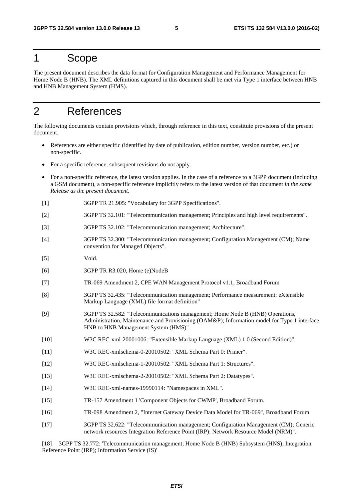### 1 Scope

The present document describes the data format for Configuration Management and Performance Management for Home Node B (HNB). The XML definitions captured in this document shall be met via Type 1 interface between HNB and HNB Management System (HMS).

# 2 References

The following documents contain provisions which, through reference in this text, constitute provisions of the present document.

- References are either specific (identified by date of publication, edition number, version number, etc.) or non-specific.
- For a specific reference, subsequent revisions do not apply.
- For a non-specific reference, the latest version applies. In the case of a reference to a 3GPP document (including a GSM document), a non-specific reference implicitly refers to the latest version of that document *in the same Release as the present document*.
- [1] 3GPP TR 21.905: "Vocabulary for 3GPP Specifications".
- [2] 3GPP TS 32.101: "Telecommunication management; Principles and high level requirements".
- [3] 3GPP TS 32.102: "Telecommunication management; Architecture".
- [4] 3GPP TS 32.300: "Telecommunication management; Configuration Management (CM); Name convention for Managed Objects".
- [5] Void.
- [6] 3GPP TR R3.020, Home (e)NodeB
- [7] TR-069 Amendment 2, CPE WAN Management Protocol v1.1, Broadband Forum
- [8] 3GPP TS 32.435: "Telecommunication management; Performance measurement: eXtensible Markup Language (XML) file format definition"
- [9] 3GPP TS 32.582: "Telecommunications management; Home Node B (HNB) Operations, Administration, Maintenance and Provisioning (OAM&P); Information model for Type 1 interface HNB to HNB Management System (HMS)"
- [10] W3C REC-xml-20001006: "Extensible Markup Language (XML) 1.0 (Second Edition)".
- [11] W3C REC-xmlschema-0-20010502: "XML Schema Part 0: Primer".
- [12] W3C REC-xmlschema-1-20010502: "XML Schema Part 1: Structures".
- [13] W3C REC-xmlschema-2-20010502: "XML Schema Part 2: Datatypes".
- [14] W3C REC-xml-names-19990114: "Namespaces in XML".
- [15] TR-157 Amendment 1 'Component Objects for CWMP', Broadband Forum.
- [16] TR-098 Amendment 2, "Internet Gateway Device Data Model for TR-069", Broadband Forum
- [17] 3GPP TS 32.622: "Telecommunication management; Configuration Management (CM); Generic network resources Integration Reference Point (IRP): Network Resource Model (NRM)".

[18] 3GPP TS 32.772: 'Telecommunication management; Home Node B (HNB) Subsystem (HNS); Integration Reference Point (IRP); Information Service (IS)'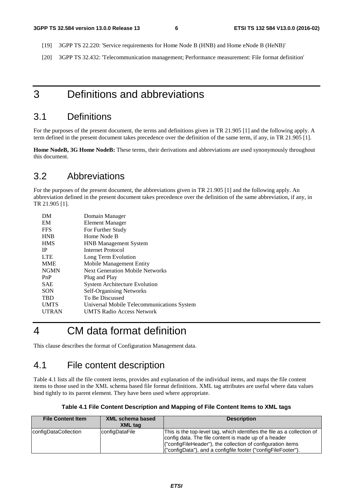- [19] 3GPP TS 22.220: 'Service requirements for Home Node B (HNB) and Home eNode B (HeNB)'
- [20] 3GPP TS 32.432: 'Telecommunication management; Performance measurement: File format definition'

### 3 Definitions and abbreviations

#### 3.1 Definitions

For the purposes of the present document, the terms and definitions given in TR 21.905 [1] and the following apply. A term defined in the present document takes precedence over the definition of the same term, if any, in TR 21.905 [1].

**Home NodeB, 3G Home NodeB:** These terms, their derivations and abbreviations are used synonymously throughout this document.

#### 3.2 Abbreviations

For the purposes of the present document, the abbreviations given in TR 21.905 [1] and the following apply. An abbreviation defined in the present document takes precedence over the definition of the same abbreviation, if any, in TR 21.905 [1].

| DM           | Domain Manager                             |
|--------------|--------------------------------------------|
| EM           | Element Manager                            |
| <b>FFS</b>   | For Further Study                          |
| <b>HNB</b>   | Home Node B                                |
| <b>HMS</b>   | <b>HNB</b> Management System               |
| <b>IP</b>    | Internet Protocol                          |
| <b>LTE</b>   | Long Term Evolution                        |
| <b>MME</b>   | Mobile Management Entity                   |
| <b>NGMN</b>  | <b>Next Generation Mobile Networks</b>     |
| PnP          | Plug and Play                              |
| <b>SAE</b>   | <b>System Architecture Evolution</b>       |
| <b>SON</b>   | <b>Self-Organising Networks</b>            |
| <b>TBD</b>   | To Be Discussed                            |
| <b>UMTS</b>  | Universal Mobile Telecommunications System |
| <b>UTRAN</b> | <b>UMTS Radio Access Network</b>           |
|              |                                            |

# 4 CM data format definition

This clause describes the format of Configuration Management data.

#### 4.1 File content description

Table 4.1 lists all the file content items, provides and explanation of the individual items, and maps the file content items to those used in the XML schema based file format definitions. XML tag attributes are useful where data values bind tightly to its parent element. They have been used where appropriate.

|  |  | Table 4.1 File Content Description and Mapping of File Content Items to XML tags |
|--|--|----------------------------------------------------------------------------------|
|  |  |                                                                                  |

| <b>File Content Item</b> | <b>XML schema based</b><br>XML tag | <b>Description</b>                                                                                                                                                                                                                                              |
|--------------------------|------------------------------------|-----------------------------------------------------------------------------------------------------------------------------------------------------------------------------------------------------------------------------------------------------------------|
| configDataCollection     | configDataFile                     | This is the top-level tag, which identifies the file as a collection of<br>config data. The file content is made up of a header<br>("configFileHeader"), the collection of configuration items<br>("configData"), and a configfile footer ("configFileFooter"). |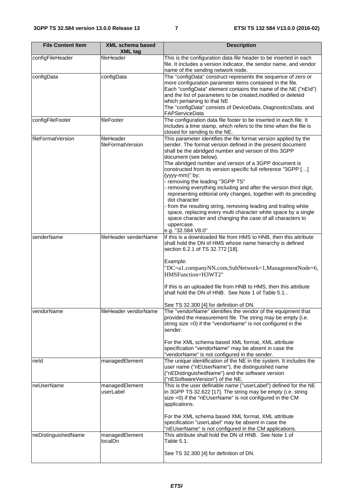| <b>File Content Item</b> | <b>XML schema based</b><br><b>XML tag</b> | <b>Description</b>                                                                                                                                                                                                                                                                                                                                                                                                                                                                                                                                                                                                                                                                                                                                                                                |
|--------------------------|-------------------------------------------|---------------------------------------------------------------------------------------------------------------------------------------------------------------------------------------------------------------------------------------------------------------------------------------------------------------------------------------------------------------------------------------------------------------------------------------------------------------------------------------------------------------------------------------------------------------------------------------------------------------------------------------------------------------------------------------------------------------------------------------------------------------------------------------------------|
| configFileHeader         | fileHeader                                | This is the configuration data file header to be inserted in each<br>file. It includes a version indicator, the sendor name, and vendor<br>name of the sending network node.                                                                                                                                                                                                                                                                                                                                                                                                                                                                                                                                                                                                                      |
| configData               | configData                                | The "configData" construct represents the sequence of zero or<br>more configuration parameter items contained in the file.<br>Each "configData" element contains the name of the NE ("nEId")<br>and the list of parameters to be created, modified or deleted<br>which pertaining to that NE<br>The "configData" consists of DeviceData, DiagnosticsData, and<br>FAPServiceData                                                                                                                                                                                                                                                                                                                                                                                                                   |
| configFileFooter         | fileFooter                                | The configuration data file footer to be inserted in each file. It<br>includes a time stamp, which refers to the time when the file is<br>closed for sending to the NE.                                                                                                                                                                                                                                                                                                                                                                                                                                                                                                                                                                                                                           |
| fileFormatVersion        | fileHeader<br>fileFormatVersion           | This parameter identifies the file format version applied by the<br>sender. The format version defined in the present document<br>shall be the abridged number and version of this 3GPP<br>document (see below).<br>The abridged number and version of a 3GPP document is<br>constructed from its version specific full reference "3GPP []<br>(yyyy-mm)" by:<br>- removing the leading "3GPP TS"<br>- removing everything including and after the version third digit,<br>representing editorial only changes, together with its preceding<br>dot character<br>from the resulting string, removing leading and trailing white<br>space, replacing every multi character white space by a single<br>space character and changing the case of all characters to<br>uppercase.<br>e.g. "32.584 V8.0" |
| senderName               | fileHeader senderName                     | If this is a downloaded file from HMS to HNB, then this attribute<br>shall hold the DN of HMS whose name hierarchy is defined<br>section 6.2.1 of TS 32.772 [18].<br>Example:<br>"DC=a1.companyNN.com,SubNetwork=1,ManagementNode=6,<br>HMSFunction=H3WT2"<br>If this is an uploaded file from HNB to HMS, then this attribute<br>shall hold the DN of HNB. See Note 1 of Table 5.1.<br>See TS 32.300 [4] for definition of DN.                                                                                                                                                                                                                                                                                                                                                                   |
| vendorName               | fileHeader vendorName                     | The "vendorName" identifies the vendor of the equipment that<br>provided the measurement file. The string may be empty (i.e.<br>string size =0) if the "vendorName" is not configured in the<br>sender.<br>For the XML schema based XML format, XML attribute<br>specification "vendorName" may be absent in case the<br>"vendorName" is not configured in the sender.                                                                                                                                                                                                                                                                                                                                                                                                                            |
| neld                     | managedElement                            | The unique identification of the NE in the system. It includes the<br>user name ("nEUserName"), the distinguished name<br>("nEDistinguishedName") and the software version<br>("nESoftwareVersion") of the NE.                                                                                                                                                                                                                                                                                                                                                                                                                                                                                                                                                                                    |
| neUserName               | managedElement<br>userLabel               | This is the user definable name ("userLabel") defined for the NE<br>in 3GPP TS 32.622 [17]. The string may be empty (i.e. string<br>size =0) if the "nEUserName" is not configured in the CM<br>applications.<br>For the XML schema based XML format, XML attribute<br>specification "userLabel" may be absent in case the                                                                                                                                                                                                                                                                                                                                                                                                                                                                        |
| neDistinguishedName      | managedElement<br>localDn                 | "nEUserName" is not configured in the CM applications.<br>This attribute shall hold the DN of HNB. See Note 1 of<br>Table 5.1.<br>See TS 32.300 [4] for definition of DN.                                                                                                                                                                                                                                                                                                                                                                                                                                                                                                                                                                                                                         |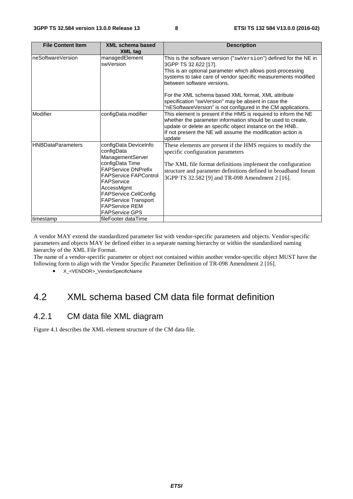| <b>File Content Item</b> | XML schema based<br><b>XML tag</b>                                                                                                                                                                                                                                                    | <b>Description</b>                                                                                                                                                                                                                                                                                                                                                                                                                  |
|--------------------------|---------------------------------------------------------------------------------------------------------------------------------------------------------------------------------------------------------------------------------------------------------------------------------------|-------------------------------------------------------------------------------------------------------------------------------------------------------------------------------------------------------------------------------------------------------------------------------------------------------------------------------------------------------------------------------------------------------------------------------------|
| neSoftwareVersion        | managedElement<br>swVersion                                                                                                                                                                                                                                                           | This is the software version ("swVersion") defined for the NE in<br>3GPP TS 32.622 [17].<br>This is an optional parameter which allows post-processing<br>systems to take care of vendor specific measurements modified<br>between software versions.<br>For the XML schema based XML format, XML attribute<br>specification "swVersion" may be absent in case the<br>"nESoftwareVersion" is not configured in the CM applications. |
| Modifier                 | configData modifier                                                                                                                                                                                                                                                                   | This element is present if the HMS is required to inform the NE<br>whether the parameter information should be used to create,<br>update or delete an specific object instance on the HNB<br>If not present the NE will assume the modification action is<br>update                                                                                                                                                                 |
| <b>HNBDataParameters</b> | configData DeviceInfo<br>configData<br>ManagementServer<br>configData Time<br><b>FAPService DNPrefix</b><br><b>FAPService FAPControl</b><br>FAPService<br>AccessMgmt<br><b>FAPService CellConfig</b><br><b>FAPService Transport</b><br><b>FAPService REM</b><br><b>FAPService GPS</b> | These elements are present if the HMS requires to modify the<br>specific configuration parameters<br>The XML file format definitions implement the configuration<br>structure and parameter definitions defined in broadband forum<br>3GPP TS 32.582 [9] and TR-098 Amendment 2 [16].                                                                                                                                               |
| timestamp                | fileFooter dataTime                                                                                                                                                                                                                                                                   |                                                                                                                                                                                                                                                                                                                                                                                                                                     |

A vendor MAY extend the standardized parameter list with vendor-specific parameters and objects. Vendor-specific parameters and objects MAY be defined either in a separate naming hierarchy or within the standardized naming hierarchy of the XML File Format.

The name of a vendor-specific parameter or object not contained within another vendor-specific object MUST have the following form to align with the Vendor Specific Parameter Definition of TR-098 Amendment 2 [16].

• X <VENDOR> VendorSpecificName

## 4.2 XML schema based CM data file format definition

#### 4.2.1 CM data file XML diagram

Figure 4.1 describes the XML element structure of the CM data file.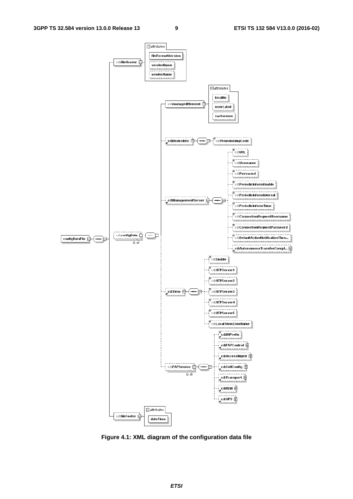

**Figure 4.1: XML diagram of the configuration data file**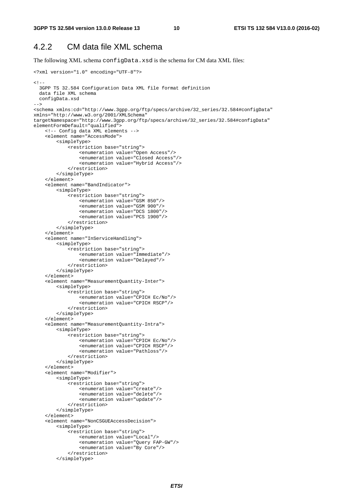#### 4.2.2 CM data file XML schema

The following XML schema configData.xsd is the schema for CM data XML files:

```
<?xml version="1.0" encoding="UTF-8"?> 
< ! - - 3GPP TS 32.584 Configuration Data XML file format definition 
   data file XML schema 
  configData.xsd 
--> 
<schema xmlns:cd="http://www.3gpp.org/ftp/specs/archive/32_series/32.584#configData" 
xmlns="http://www.w3.org/2001/XMLSchema" 
targetNamespace="http://www.3gpp.org/ftp/specs/archive/32_series/32.584#configData" 
elementFormDefault="qualified">
     <!-- Config data XML elements --> 
     <element name="AccessMode"> 
         <simpleType> 
              <restriction base="string"> 
                  <enumeration value="Open Access"/> 
                  <enumeration value="Closed Access"/> 
                  <enumeration value="Hybrid Access"/> 
              </restriction> 
         </simpleType> 
     </element> 
     <element name="BandIndicator"> 
         <simpleType> 
              <restriction base="string"> 
                  <enumeration value="GSM 850"/> 
                  <enumeration value="GSM 900"/> 
                  <enumeration value="DCS 1800"/> 
                  <enumeration value="PCS 1900"/> 
              </restriction> 
         </simpleType> 
     </element> 
     <element name="InServiceHandling"> 
         <simpleType> 
             -<br><restriction base="string">
                  <enumeration value="Immediate"/> 
                  <enumeration value="Delayed"/> 
              </restriction> 
         </simpleType> 
     </element> 
     <element name="MeasurementQuantity-Inter"> 
         <simpleType> 
              <restriction base="string"> 
                  <enumeration value="CPICH Ec/No"/> 
                  <enumeration value="CPICH RSCP"/> 
              </restriction> 
         </simpleType> 
     </element> 
     <element name="MeasurementQuantity-Intra"> 
         <simpleType> 
              <restriction base="string"> 
                  <enumeration value="CPICH Ec/No"/> 
                  <enumeration value="CPICH RSCP"/> 
                  <enumeration value="Pathloss"/> 
              </restriction> 
         </simpleType> 
     </element> 
     <element name="Modifier"> 
         <simpleType> 
              <restriction base="string"> 
                  <enumeration value="create"/> 
                  <enumeration value="delete"/> 
                  <enumeration value="update"/> 
              </restriction> 
          </simpleType> 
     </element> 
     <element name="NonCSGUEAccessDecision"> 
         <simpleType> 
              <restriction base="string"> 
                  <enumeration value="Local"/> 
                  <enumeration value="Query FAP-GW"/> 
                  <enumeration value="By Core"/> 
              </restriction> 
          </simpleType>
```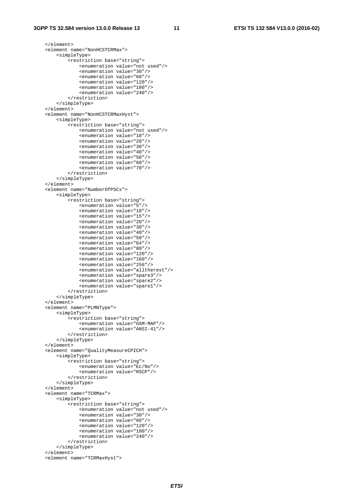```
 </element> 
 <element name="NonHCSTCRMax"> 
     <simpleType> 
         <restriction base="string"> 
              <enumeration value="not used"/> 
              <enumeration value="30"/> 
              <enumeration value="60"/> 
              <enumeration value="120"/> 
              <enumeration value="180"/> 
              <enumeration value="240"/> 
         </restriction> 
     </simpleType> 
 </element> 
 <element name="NonHCSTCRMaxHyst"> 
     <simpleType> 
         <restriction base="string"> 
              <enumeration value="not used"/> 
              <enumeration value="10"/> 
              <enumeration value="20"/> 
              <enumeration value="30"/> 
              <enumeration value="40"/> 
              <enumeration value="50"/> 
              <enumeration value="60"/> 
              <enumeration value="70"/> 
         </restriction> 
     </simpleType> 
 </element> 
 <element name="NumberOfPSCs"> 
     <simpleType> 
         <restriction base="string"> 
              <enumeration value="5"/> 
              <enumeration value="10"/> 
              <enumeration value="15"/> 
              <enumeration value="20"/> 
              <enumeration value="30"/> 
              <enumeration value="40"/> 
              <enumeration value="50"/> 
              <enumeration value="64"/> 
              <enumeration value="80"/> 
              <enumeration value="120"/> 
              <enumeration value="160"/> 
              <enumeration value="256"/> 
              <enumeration value="alltherest"/> 
              <enumeration value="spare3"/> 
              <enumeration value="spare2"/> 
              <enumeration value="spare1"/> 
         </restriction> 
     </simpleType> 
 </element> 
 <element name="PLMNType"> 
     <simpleType> 
         <restriction base="string"> 
              <enumeration value="GSM-MAP"/> 
              <enumeration value="ANSI-41"/> 
         </restriction> 
     </simpleType> 
\epsilon/element>
 <element name="QualityMeasureCPICH"> 
     <simpleType> 
        -<br><restriction base="string">
              <enumeration value="Ec/No"/> 
              <enumeration value="RSCP"/> 
         </restriction> 
     </simpleType> 
 </element> 
 <element name="TCRMax"> 
     <simpleType> 
         <restriction base="string"> 
              <enumeration value="not used"/> 
              <enumeration value="30"/> 
              <enumeration value="60"/> 
              <enumeration value="120"/> 
              <enumeration value="180"/> 
              <enumeration value="240"/> 
         </restriction> 
     </simpleType> 
 </element> 
 <element name="TCRMaxHyst">
```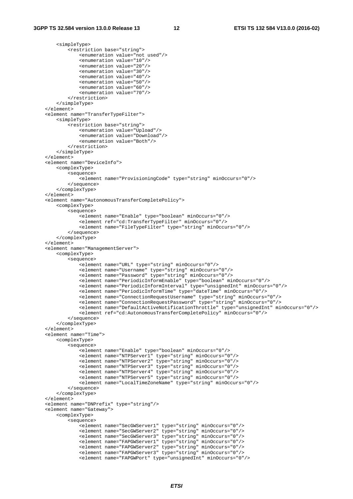```
 <simpleType> 
             <restriction base="string"> 
                 <enumeration value="not used"/> 
                 <enumeration value="10"/> 
                 <enumeration value="20"/> 
                 <enumeration value="30"/> 
                 <enumeration value="40"/> 
                 <enumeration value="50"/> 
                 <enumeration value="60"/> 
                 <enumeration value="70"/> 
            </restriction> 
        </simpleType> 
    </element> 
    <element name="TransferTypeFilter"> 
        <simpleType> 
            <restriction base="string"> 
                 <enumeration value="Upload"/> 
                 <enumeration value="Download"/> 
                 <enumeration value="Both"/> 
            </restriction> 
        </simpleType> 
   \epsilon/element>
    <element name="DeviceInfo"> 
        <complexType> 
            <sequence> 
                <element name="ProvisioningCode" type="string" minOccurs="0"/> 
            </sequence> 
         </complexType> 
    </element> 
    <element name="AutonomousTransferCompletePolicy"> 
        <complexType> 
            <sequence> 
                 <element name="Enable" type="boolean" minOccurs="0"/> 
                 <element ref="cd:TransferTypeFilter" minOccurs="0"/> 
                 <element name="FileTypeFilter" type="string" minOccurs="0"/> 
             </sequence> 
         </complexType> 
    </element> 
    <element name="ManagementServer"> 
        <complexType> 
             <sequence> 
                 <element name="URL" type="string" minOccurs="0"/> 
 <element name="Username" type="string" minOccurs="0"/> 
 <element name="Password" type="string" minOccurs="0"/> 
                 <element name="PeriodicInformEnable" type="boolean" minOccurs="0"/> 
                 <element name="PeriodicInformInterval" type="unsignedInt" minOccurs="0"/> 
                 <element name="PeriodicInformTime" type="dateTime" minOccurs="0"/> 
 <element name="ConnectionRequestUsername" type="string" minOccurs="0"/> 
 <element name="ConnectionRequestPassword" type="string" minOccurs="0"/> 
                 <element name="DefaultActiveNotificationThrottle" type="unsignedInt" minOccurs="0"/> 
                 <element ref="cd:AutonomousTransferCompletePolicy" minOccurs="0"/> 
            </sequence> 
        </complexType> 
    </element> 
    <element name="Time"> 
        <complexType> 
            <sequence> 
                 <element name="Enable" type="boolean" minOccurs="0"/> 
 <element name="NTPServer1" type="string" minOccurs="0"/> 
 <element name="NTPServer2" type="string" minOccurs="0"/> 
                 <element name="NTPServer3" type="string" minOccurs="0"/> 
                 <element name="NTPServer4" type="string" minOccurs="0"/> 
                 <element name="NTPServer5" type="string" minOccurs="0"/> 
                 <element name="LocalTimeZoneName" type="string" minOccurs="0"/> 
            </sequence> 
        </complexType> 
    </element> 
    <element name="DNPrefix" type="string"/> 
    <element name="Gateway"> 
        <complexType> 
             <sequence> 
                 <element name="SecGWServer1" type="string" minOccurs="0"/> 
                 <element name="SecGWServer2" type="string" minOccurs="0"/> 
 <element name="SecGWServer3" type="string" minOccurs="0"/> 
 <element name="FAPGWServer1" type="string" minOccurs="0"/> 
                 <element name="FAPGWServer2" type="string" minOccurs="0"/> 
                 <element name="FAPGWServer3" type="string" minOccurs="0"/> 
                 <element name="FAPGWPort" type="unsignedInt" minOccurs="0"/>
```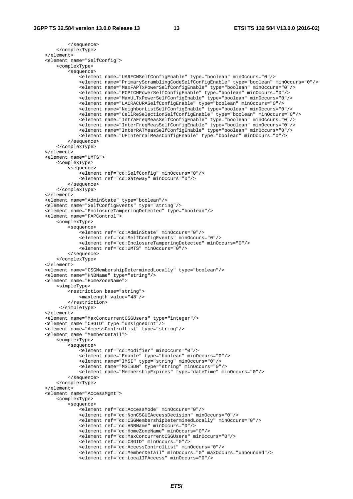```
 </sequence> 
         </complexType> 
    </element> 
    <element name="SelfConfig"> 
         <complexType> 
             <sequence> 
                 <element name="UARFCNSelfConfigEnable" type="boolean" minOccurs="0"/> 
                 <element name="PrimaryScramblingCodeSelfConfigEnable" type="boolean" minOccurs="0"/> 
                 <element name="MaxFAPTxPowerSelfConfigEnable" type="boolean" minOccurs="0"/> 
                 <element name="PCPICHPowerSelfConfigEnable" type="boolean" minOccurs="0"/> 
                 <element name="MaxULTxPowerSelfConfigEnable" type="boolean" minOccurs="0"/> 
                 <element name="LACRACURASelfConfigEnable" type="boolean" minOccurs="0"/> 
                 <element name="NeighborListSelfConfigEnable" type="boolean" minOccurs="0"/> 
                 <element name="CellReSelectionSelfConfigEnable" type="boolean" minOccurs="0"/> 
 <element name="IntraFreqMeasSelfConfigEnable" type="boolean" minOccurs="0"/> 
 <element name="InterFreqMeasSelfConfigEnable" type="boolean" minOccurs="0"/> 
                 <element name="InterRATMeasSelfConfigEnable" type="boolean" minOccurs="0"/> 
                 <element name="UEInternalMeasConfigEnable" type="boolean" minOccurs="0"/> 
             </sequence> 
         </complexType> 
    </element> 
    <element name="UMTS"> 
         <complexType> 
             <sequence> 
                 <element ref="cd:SelfConfig" minOccurs="0"/> 
                 <element ref="cd:Gateway" minOccurs="0"/> 
             </sequence> 
         </complexType> 
    </element> 
    <element name="AdminState" type="boolean"/> 
    <element name="SelfConfigEvents" type="string"/> 
    <element name="EnclosureTamperingDetected" type="boolean"/> 
    <element name="FAPControl"> 
         <complexType> 
             <sequence> 
                 <element ref="cd:AdminState" minOccurs="0"/> 
                 <element ref="cd:SelfConfigEvents" minOccurs="0"/> 
                 <element ref="cd:EnclosureTamperingDetected" minOccurs="0"/> 
                 <element ref="cd:UMTS" minOccurs="0"/> 
             </sequence> 
         </complexType> 
    </element> 
    <element name="CSGMembershipDeterminedLocally" type="boolean"/> 
    <element name="HNBName" type="string"/> 
    <element name="HomeZoneName"> 
         <simpleType> 
             <restriction base="string"> 
                 <maxLength value="48"/> 
             </restriction> 
          </simpleType> 
    </element> 
    <element name="MaxConcurrentCSGUsers" type="integer"/> 
    <element name="CSGID" type="unsignedInt"/> 
    <element name="AccessControlList" type="string"/> 
    <element name="MemberDetail"> 
         <complexType> 
             <sequence> 
                 <element ref="cd:Modifier" minOccurs="0"/> 
                 <element name="Enable" type="boolean" minOccurs="0"/> 
                 <element name="IMSI" type="string" minOccurs="0"/> 
                 <element name="MSISDN" type="string" minOccurs="0"/> 
                 <element name="MembershipExpires" type="dateTime" minOccurs="0"/> 
             </sequence> 
         </complexType> 
    </element> 
    <element name="AccessMgmt"> 
         <complexType> 
             <sequence> 
                 <element ref="cd:AccessMode" minOccurs="0"/> 
                 <element ref="cd:NonCSGUEAccessDecision" minOccurs="0"/> 
                 <element ref="cd:CSGMembershipDeterminedLocally" minOccurs="0"/> 
                 <element ref="cd:HNBName" minOccurs="0"/> 
                 <element ref="cd:HomeZoneName" minOccurs="0"/> 
                 <element ref="cd:MaxConcurrentCSGUsers" minOccurs="0"/> 
                 <element ref="cd:CSGID" minOccurs="0"/> 
                 <element ref="cd:AccessControlList" minOccurs="0"/> 
 <element ref="cd:MemberDetail" minOccurs="0" maxOccurs="unbounded"/> 
 <element ref="cd:LocalIPAccess" minOccurs="0"/>
```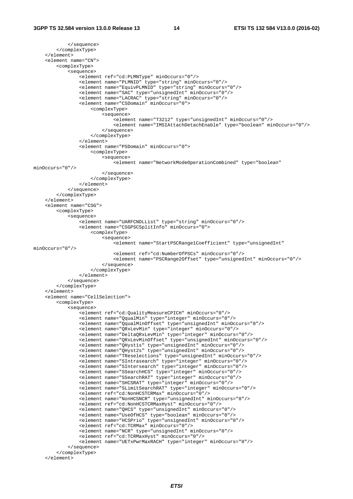```
 </sequence> 
         </complexType> 
     </element> 
     <element name="CN"> 
         <complexType> 
             <sequence> 
                  <element ref="cd:PLMNType" minOccurs="0"/> 
                  <element name="PLMNID" type="string" minOccurs="0"/> 
                  <element name="EquivPLMNID" type="string" minOccurs="0"/> 
                  <element name="SAC" type="unsignedInt" minOccurs="0"/> 
                  <element name="LACRAC" type="string" minOccurs="0"/> 
                  <element name="CSDomain" minOccurs="0"> 
                      <complexType> 
                          <sequence> 
                              <element name="T3212" type="unsignedInt" minOccurs="0"/> 
                              <element name="IMSIAttachDetachEnable" type="boolean" minOccurs="0"/> 
                          </sequence> 
                      </complexType> 
                  </element> 
                  <element name="PSDomain" minOccurs="0"> 
                     <complexType> 
                          <sequence> 
                              <element name="NetworkModeOperationCombined" type="boolean" 
minOccurs="0"/> 
                          </sequence> 
                      </complexType> 
                 </element> 
             </sequence> 
         </complexType> 
    \epsilon/element>
     <element name="CSG"> 
         <complexType> 
            -<br><sequence>
                -<br><element name="UARFCNDLList" type="string" minOccurs="0"/>
                  <element name="CSGPSCSplitInfo" minOccurs="0"> 
                      <complexType> 
                          <sequence> 
                             .<br><element name="StartPSCRange1Coefficient" type="unsignedInt"
minOccurs="0"/> 
                              <element ref="cd:NumberOfPSCs" minOccurs="0"/> 
                              <element name="PSCRange2Offset" type="unsignedInt" minOccurs="0"/> 
                          </sequence> 
                      </complexType> 
                 </element> 
             </sequence> 
         </complexType> 
     </element> 
     <element name="CellSelection"> 
         <complexType> 
             <sequence> 
                 <element ref="cd:QualityMeasureCPICH" minOccurs="0"/> 
                  <element name="QqualMin" type="integer" minOccurs="0"/> 
                  <element name="QqualMinOffset" type="unsignedInt" minOccurs="0"/> 
                  <element name="QRxLevMin" type="integer" minOccurs="0"/> 
                  <element name="DeltaQRxLevMin" type="integer" minOccurs="0"/> 
                 <element name="QRxLevMinOffset" type="unsignedInt" minOccurs="0"/> 
                  <element name="QHyst1s" type="unsignedInt" minOccurs="0"/> 
                 <element name="QHyst2s" type="unsignedInt" minOccurs="0"/> 
                  <element name="TReselections" type="unsignedInt" minOccurs="0"/> 
                 <element name="SIntrasearch" type="integer" minOccurs="0"/> 
                 <element name="SIntersearch" type="integer" minOccurs="0"/> 
                  <element name="SSearchHCS" type="integer" minOccurs="0"/> 
                  <element name="SSearchRAT" type="integer" minOccurs="0"/> 
 <element name="SHCSRAT" type="integer" minOccurs="0"/> 
 <element name="SLimitSearchRAT" type="integer" minOccurs="0"/> 
                 <element ref="cd:NonHCSTCRMax" minOccurs="0"/> 
                  <element name="NonHCSNCR" type="unsignedInt" minOccurs="0"/> 
                  <element ref="cd:NonHCSTCRMaxHyst" minOccurs="0"/> 
 <element name="QHCS" type="unsignedInt" minOccurs="0"/> 
 <element name="UseOfHCS" type="boolean" minOccurs="0"/> 
                  <element name="HCSPrio" type="unsignedInt" minOccurs="0"/> 
                  <element ref="cd:TCRMax" minOccurs="0"/> 
                 <element name="NCR" type="unsignedInt" minOccurs="0"/> 
                 <element ref="cd:TCRMaxHyst" minOccurs="0"/> 
                  <element name="UETxPwrMaxRACH" type="integer" minOccurs="0"/> 
              </sequence> 
         </complexType> 
     </element>
```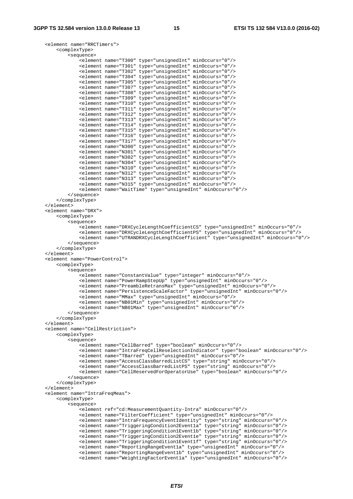```
 <element name="RRCTimers"> 
        <complexType> 
            <sequence> 
 <element name="T300" type="unsignedInt" minOccurs="0"/> 
 <element name="T301" type="unsignedInt" minOccurs="0"/> 
                <element name="T302" type="unsignedInt" minOccurs="0"/> 
 <element name="T304" type="unsignedInt" minOccurs="0"/> 
 <element name="T305" type="unsignedInt" minOccurs="0"/> 
                <element name="T307" type="unsignedInt" minOccurs="0"/> 
                <element name="T308" type="unsignedInt" minOccurs="0"/> 
                <element name="T309" type="unsignedInt" minOccurs="0"/> 
 <element name="T310" type="unsignedInt" minOccurs="0"/> 
 <element name="T311" type="unsignedInt" minOccurs="0"/> 
                <element name="T312" type="unsignedInt" minOccurs="0"/> 
 <element name="T313" type="unsignedInt" minOccurs="0"/> 
 <element name="T314" type="unsignedInt" minOccurs="0"/> 
 <element name="T315" type="unsignedInt" minOccurs="0"/> 
 <element name="T316" type="unsignedInt" minOccurs="0"/> 
                <element name="T317" type="unsignedInt" minOccurs="0"/> 
 <element name="N300" type="unsignedInt" minOccurs="0"/> 
 <element name="N301" type="unsignedInt" minOccurs="0"/> 
                <element name="N302" type="unsignedInt" minOccurs="0"/> 
 <element name="N304" type="unsignedInt" minOccurs="0"/> 
 <element name="N310" type="unsignedInt" minOccurs="0"/> 
 <element name="N312" type="unsignedInt" minOccurs="0"/> 
 <element name="N313" type="unsignedInt" minOccurs="0"/> 
                <element name="N315" type="unsignedInt" minOccurs="0"/> 
                <element name="WaitTime" type="unsignedInt" minOccurs="0"/> 
            </sequence> 
        </complexType> 
    </element> 
    <element name="DRX"> 
        <complexType> 
            <sequence> 
                <element name="DRXCycleLengthCoefficientCS" type="unsignedInt" minOccurs="0"/> 
                <element name="DRXCycleLengthCoefficientPS" type="unsignedInt" minOccurs="0"/> 
                <element name="UTRANDRXCycleLengthCoefficient" type="unsignedInt" minOccurs="0"/> 
            </sequence> 
        </complexType> 
    </element> 
    <element name="PowerControl"> 
        <complexType> 
            <sequence> 
                <element name="ConstantValue" type="integer" minOccurs="0"/> 
                <element name="PowerRampStepUp" type="unsignedInt" minOccurs="0"/> 
                <element name="PreambleRetransMax" type="unsignedInt" minOccurs="0"/> 
                <element name="PersistenceScaleFactor" type="unsignedInt" minOccurs="0"/> 
                <element name="MMax" type="unsignedInt" minOccurs="0"/> 
 <element name="NB01Min" type="unsignedInt" minOccurs="0"/> 
 <element name="NB01Max" type="unsignedInt" minOccurs="0"/> 
            </sequence> 
        </complexType> 
    </element> 
    <element name="CellRestriction"> 
        <complexType> 
            <sequence> 
                <element name="CellBarred" type="boolean" minOccurs="0"/> 
                <element name="IntraFreqCellReselectionIndicator" type="boolean" minOccurs="0"/> 
                <element name="TBarred" type="unsignedInt" minOccurs="0"/> 
                <element name="AccessClassBarredListCS" type="string" minOccurs="0"/> 
                <element name="AccessClassBarredListPS" type="string" minOccurs="0"/> 
                <element name="CellReservedForOperatorUse" type="boolean" minOccurs="0"/> 
            </sequence> 
        </complexType> 
    </element> 
    <element name="IntraFreqMeas"> 
        <complexType> 
            <sequence> 
                <element ref="cd:MeasurementQuantity-Intra" minOccurs="0"/> 
                <element name="FilterCoefficient" type="unsignedInt" minOccurs="0"/> 
                <element name="IntraFrequencyEventIdentity" type="string" minOccurs="0"/> 
 <element name="TriggeringCondition2Event1a" type="string" minOccurs="0"/> 
 <element name="TriggeringCondition1Event1b" type="string" minOccurs="0"/> 
 <element name="TriggeringCondition2Event1e" type="string" minOccurs="0"/> 
 <element name="TriggeringCondition1Event1f" type="string" minOccurs="0"/> 
                <element name="ReportingRangeEvent1a" type="unsignedInt" minOccurs="0"/> 
                <element name="ReportingRangeEvent1b" type="unsignedInt" minOccurs="0"/> 
                <element name="WeightingFactorEvent1a" type="unsignedInt" minOccurs="0"/>
```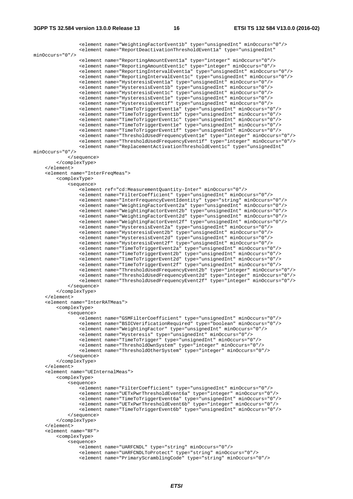```
 <element name="WeightingFactorEvent1b" type="unsignedInt" minOccurs="0"/> 
                <element name="ReportDeactivationThresholdEvent1a" type="unsignedInt" 
minOccurs="0"/> 
 <element name="ReportingAmountEvent1a" type="integer" minOccurs="0"/> 
 <element name="ReportingAmountEvent1c" type="integer" minOccurs="0"/> 
                <element name="ReportingIntervalEvent1a" type="unsignedInt" minOccurs="0"/> 
                <element name="ReportingIntervalEvent1c" type="unsignedInt" minOccurs="0"/> 
                <element name="HysteresisEvent1a" type="unsignedInt" minOccurs="0"/> 
                <element name="HysteresisEvent1b" type="unsignedInt" minOccurs="0"/> 
                <element name="HysteresisEvent1c" type="unsignedInt" minOccurs="0"/> 
                <element name="HysteresisEvent1e" type="unsignedInt" minOccurs="0"/> 
                <element name="HysteresisEvent1f" type="unsignedInt" minOccurs="0"/> 
 <element name="TimeToTriggerEvent1a" type="unsignedInt" minOccurs="0"/> 
 <element name="TimeToTriggerEvent1b" type="unsignedInt" minOccurs="0"/> 
 <element name="TimeToTriggerEvent1c" type="unsignedInt" minOccurs="0"/> 
 <element name="TimeToTriggerEvent1e" type="unsignedInt" minOccurs="0"/> 
                <element name="TimeToTriggerEvent1f" type="unsignedInt" minOccurs="0"/> 
 <element name="ThresholdUsedFrequencyEvent1e" type="integer" minOccurs="0"/> 
 <element name="ThresholdUsedFrequencyEvent1f" type="integer" minOccurs="0"/> 
                <element name="ReplacementActivationThresholdEvent1c" type="unsignedInt" 
minOccurs="0"/> 
            </sequence> 
         </complexType> 
    </element> 
    <element name="InterFreqMeas"> 
        <complexType> 
            <sequence> 
                <element ref="cd:MeasurementQuantity-Inter" minOccurs="0"/> 
                <element name="FilterCoefficient" type="unsignedInt" minOccurs="0"/> 
 <element name="InterFrequencyEventIdentity" type="string" minOccurs="0"/> 
 <element name="WeightingFactorEvent2a" type="unsignedInt" minOccurs="0"/> 
                <element name="WeightingFactorEvent2b" type="unsignedInt" minOccurs="0"/> 
 <element name="WeightingFactorEvent2d" type="unsignedInt" minOccurs="0"/> 
 <element name="WeightingFactorEvent2f" type="unsignedInt" minOccurs="0"/> 
 <element name="HysteresisEvent2a" type="unsignedInt" minOccurs="0"/> 
 <element name="HysteresisEvent2b" type="unsignedInt" minOccurs="0"/> 
                <element name="HysteresisEvent2d" type="unsignedInt" minOccurs="0"/> 
                <element name="HysteresisEvent2f" type="unsignedInt" minOccurs="0"/> 
                <element name="TimeToTriggerEvent2a" type="unsignedInt" minOccurs="0"/> 
                <element name="TimeToTriggerEvent2b" type="unsignedInt" minOccurs="0"/> 
 <element name="TimeToTriggerEvent2d" type="unsignedInt" minOccurs="0"/> 
 <element name="TimeToTriggerEvent2f" type="unsignedInt" minOccurs="0"/> 
 <element name="ThresholdUsedFrequencyEvent2b" type="integer" minOccurs="0"/> 
 <element name="ThresholdUsedFrequencyEvent2d" type="integer" minOccurs="0"/> 
                <element name="ThresholdUsedFrequencyEvent2f" type="integer" minOccurs="0"/> 
            </sequence> 
        </complexType> 
    </element> 
     <element name="InterRATMeas"> 
        <complexType> 
            <sequence> 
                <element name="GSMFilterCoefficient" type="unsignedInt" minOccurs="0"/> 
                <element name="BSICVerificationRequired" type="boolean" minOccurs="0"/> 
                <element name="WeightingFactor" type="unsignedInt" minOccurs="0"/> 
                <element name="Hysteresis" type="unsignedInt" minOccurs="0"/> 
                <element name="TimeToTrigger" type="unsignedInt" minOccurs="0"/> 
                <element name="ThresholdOwnSystem" type="integer" minOccurs="0"/> 
                <element name="ThresholdOtherSystem" type="integer" minOccurs="0"/> 
            </sequence> 
        </complexType> 
    </element> 
     <element name="UEInternalMeas"> 
        <complexType> 
            <sequence> 
               .<br><element name="FilterCoefficient" type="unsignedInt" minOccurs="0"/>
                <element name="UETxPwrThresholdEvent6a" type="integer" minOccurs="0"/> 
                <element name="TimeToTriggerEvent6a" type="unsignedInt" minOccurs="0"/> 
                <element name="UETxPwrThresholdEvent6b" type="integer" minOccurs="0"/> 
                <element name="TimeToTriggerEvent6b" type="unsignedInt" minOccurs="0"/> 
            </sequence> 
         </complexType> 
     </element> 
    <element name="RF"> 
         <complexType> 
            <sequence> 
                <element name="UARFCNDL" type="string" minOccurs="0"/> 
 <element name="UARFCNDLToProtect" type="string" minOccurs="0"/> 
 <element name="PrimaryScramblingCode" type="string" minOccurs="0"/>
```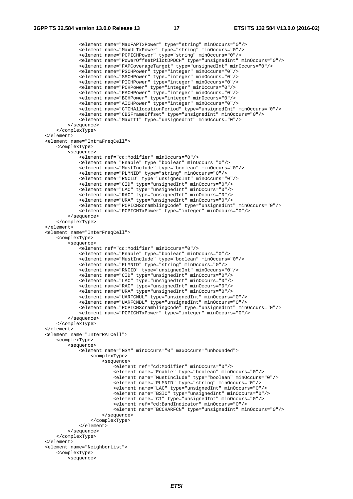```
 <element name="MaxFAPTxPower" type="string" minOccurs="0"/> 
 <element name="MaxULTxPower" type="string" minOccurs="0"/> 
 <element name="PCPICHPower" type="string" minOccurs="0"/> 
                 <element name="PowerOffsetPilotDPDCH" type="unsignedInt" minOccurs="0"/> 
                 <element name="FAPCoverageTarget" type="unsignedInt" minOccurs="0"/> 
                 <element name="PSCHPower" type="integer" minOccurs="0"/> 
                 <element name="SSCHPower" type="integer" minOccurs="0"/> 
                 <element name="PICHPower" type="integer" minOccurs="0"/> 
                 <element name="PCHPower" type="integer" minOccurs="0"/> 
                 <element name="FACHPower" type="integer" minOccurs="0"/> 
                 <element name="BCHPower" type="integer" minOccurs="0"/> 
                 <element name="AICHPower" type="integer" minOccurs="0"/> 
                 <element name="CTCHAllocationPeriod" type="unsignedInt" minOccurs="0"/> 
                 <element name="CBSFrameOffset" type="unsignedInt" minOccurs="0"/> 
                 <element name="MaxTTI" type="unsignedInt" minOccurs="0"/> 
             </sequence> 
         </complexType> 
    </element> 
    <element name="IntraFreqCell"> 
        <complexType> 
             <sequence> 
                 <element ref="cd:Modifier" minOccurs="0"/> 
                 <element name="Enable" type="boolean" minOccurs="0"/> 
                 <element name="MustInclude" type="boolean" minOccurs="0"/> 
                 <element name="PLMNID" type="string" minOccurs="0"/> 
                 <element name="RNCID" type="unsignedInt" minOccurs="0"/> 
                 <element name="CID" type="unsignedInt" minOccurs="0"/> 
                 <element name="LAC" type="unsignedInt" minOccurs="0"/> 
                 <element name="RAC" type="unsignedInt" minOccurs="0"/> 
                 <element name="URA" type="unsignedInt" minOccurs="0"/> 
                 <element name="PCPICHScramblingCode" type="unsignedInt" minOccurs="0"/> 
                 <element name="PCPICHTxPower" type="integer" minOccurs="0"/> 
             </sequence> 
         </complexType> 
   \epsilon/element>
    <element name="InterFreqCell"> 
        <complexType> 
             <sequence> 
                 <element ref="cd:Modifier" minOccurs="0"/> 
                 <element name="Enable" type="boolean" minOccurs="0"/> 
                 <element name="MustInclude" type="boolean" minOccurs="0"/> 
                 <element name="PLMNID" type="string" minOccurs="0"/> 
                 <element name="RNCID" type="unsignedInt" minOccurs="0"/> 
                 <element name="CID" type="unsignedInt" minOccurs="0"/> 
                 <element name="LAC" type="unsignedInt" minOccurs="0"/> 
 <element name="RAC" type="unsignedInt" minOccurs="0"/> 
 <element name="URA" type="unsignedInt" minOccurs="0"/> 
 <element name="UARFCNUL" type="unsignedInt" minOccurs="0"/> 
 <element name="UARFCNDL" type="unsignedInt" minOccurs="0"/> 
                 <element name="PCPICHScramblingCode" type="unsignedInt" minOccurs="0"/> 
                 <element name="PCPICHTxPower" type="integer" minOccurs="0"/> 
             </sequence> 
        </complexType> 
    </element> 
    <element name="InterRATCell"> 
        <complexType> 
             <sequence> 
                 <element name="GSM" minOccurs="0" maxOccurs="unbounded"> 
                     <complexType> 
                         <sequence> 
                             <element ref="cd:Modifier" minOccurs="0"/> 
                             <element name="Enable" type="boolean" minOccurs="0"/> 
                             <element name="MustInclude" type="boolean" minOccurs="0"/> 
                             <element name="PLMNID" type="string" minOccurs="0"/> 
                             <element name="LAC" type="unsignedInt" minOccurs="0"/> 
                             <element name="BSIC" type="unsignedInt" minOccurs="0"/> 
                             <element name="CI" type="unsignedInt" minOccurs="0"/> 
                             <element ref="cd:BandIndicator" minOccurs="0"/> 
                             <element name="BCCHARFCN" type="unsignedInt" minOccurs="0"/> 
                         </sequence> 
                     </complexType> 
                 </element> 
             </sequence> 
         </complexType> 
    </element> 
    <element name="NeighborList"> 
        <complexType>
```

```
 <sequence>
```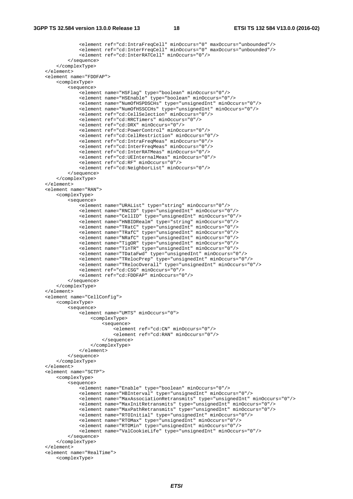```
 <element ref="cd:IntraFreqCell" minOccurs="0" maxOccurs="unbounded"/> 
                 <element ref="cd:InterFreqCell" minOccurs="0" maxOccurs="unbounded"/> 
                 <element ref="cd:InterRATCell" minOccurs="0"/> 
             </sequence> 
         </complexType> 
     </element> 
     <element name="FDDFAP"> 
         <complexType> 
             <sequence> 
                 <element name="HSFlag" type="boolean" minOccurs="0"/> 
                 <element name="HSEnable" type="boolean" minOccurs="0"/> 
                 <element name="NumOfHSPDSCHs" type="unsignedInt" minOccurs="0"/> 
                 <element name="NumOfHSSCCHs" type="unsignedInt" minOccurs="0"/> 
                 <element ref="cd:CellSelection" minOccurs="0"/> 
                 <element ref="cd:RRCTimers" minOccurs="0"/> 
                 <element ref="cd:DRX" minOccurs="0"/> 
                 <element ref="cd:PowerControl" minOccurs="0"/> 
                 <element ref="cd:CellRestriction" minOccurs="0"/> 
                 <element ref="cd:IntraFreqMeas" minOccurs="0"/> 
                 <element ref="cd:InterFreqMeas" minOccurs="0"/> 
                 <element ref="cd:InterRATMeas" minOccurs="0"/> 
                 <element ref="cd:UEInternalMeas" minOccurs="0"/> 
                 <element ref="cd:RF" minOccurs="0"/> 
                 <element ref="cd:NeighborList" minOccurs="0"/> 
             </sequence> 
         </complexType> 
    </element> 
     <element name="RAN"> 
         <complexType> 
             <sequence> 
                .<br><element name="URAList" type="string" minOccurs="0"/>
                 <element name="RNCID" type="unsignedInt" minOccurs="0"/> 
                 <element name="CellID" type="unsignedInt" minOccurs="0"/> 
                 <element name="HNBIDRealm" type="string" minOccurs="0"/> 
                 <element name="TRatC" type="unsignedInt" minOccurs="0"/> 
                 <element name="TRafC" type="unsignedInt" minOccurs="0"/> 
                 <element name="NRafC" type="unsignedInt" minOccurs="0"/> 
 <element name="TigOR" type="unsignedInt" minOccurs="0"/> 
 <element name="TinTR" type="unsignedInt" minOccurs="0"/> 
                 <element name="TDataFwd" type="unsignedInt" minOccurs="0"/> 
                 <element name="TRelocPrep" type="unsignedInt" minOccurs="0"/> 
                 <element name="TRelocOverall" type="unsignedInt" minOccurs="0"/> 
                 <element ref="cd:CSG" minOccurs="0"/> 
                 <element ref="cd:FDDFAP" minOccurs="0"/> 
             </sequence> 
         </complexType> 
    </element> 
     <element name="CellConfig"> 
         <complexType> 
             <sequence> 
                 <element name="UMTS" minOccurs="0"> 
                     <complexType> 
                          <sequence> 
                              <element ref="cd:CN" minOccurs="0"/> 
                              <element ref="cd:RAN" minOccurs="0"/> 
                          </sequence> 
                      </complexType> 
                 </element> 
             </sequence> 
         </complexType> 
    </element> 
     <element name="SCTP"> 
         <complexType> 
             <sequence> 
                .<br><element name="Enable" type="boolean" minOccurs="0"/>
                 <element name="HBInterval" type="unsignedInt" minOccurs="0"/> 
                 <element name="MaxAssociationRetransmits" type="unsignedInt" minOccurs="0"/> 
                 <element name="MaxInitRetransmits" type="unsignedInt" minOccurs="0"/> 
                 <element name="MaxPathRetransmits" type="unsignedInt" minOccurs="0"/> 
                 <element name="RTOInitial" type="unsignedInt" minOccurs="0"/> 
                 <element name="RTOMax" type="unsignedInt" minOccurs="0"/> 
                 <element name="RTOMin" type="unsignedInt" minOccurs="0"/> 
                 <element name="ValCookieLife" type="unsignedInt" minOccurs="0"/> 
             </sequence> 
         </complexType> 
     </element> 
     <element name="RealTime">
```

```
 <complexType>
```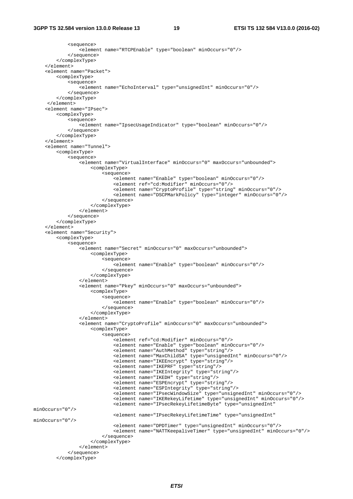```
 <sequence> 
                 <element name="RTCPEnable" type="boolean" minOccurs="0"/> 
             </sequence> 
         </complexType> 
     </element> 
     <element name="Packet"> 
         <complexType> 
             <sequence> 
                 <element name="EchoInterval" type="unsignedInt" minOccurs="0"/> 
             </sequence> 
         </complexType> 
      </element> 
     <element name="IPsec"> 
         <complexType> 
             <sequence> 
                 <element name="IpsecUsageIndicator" type="boolean" minOccurs="0"/> 
             </sequence> 
         </complexType> 
     </element> 
     <element name="Tunnel"> 
         <complexType> 
             <sequence> 
                 <element name="VirtualInterface" minOccurs="0" maxOccurs="unbounded"> 
                     <complexType> 
                          <sequence> 
                              <element name="Enable" type="boolean" minOccurs="0"/> 
                              <element ref="cd:Modifier" minOccurs="0"/> 
 <element name="CryptoProfile" type="string" minOccurs="0"/> 
 <element name="DSCPMarkPolicy" type="integer" minOccurs="0"/> 
                         </sequence> 
                     </complexType> 
                 </element> 
             </sequence> 
         </complexType> 
    \epsilon/element>
     <element name="Security"> 
         <complexType> 
             <sequence> 
                 <element name="Secret" minOccurs="0" maxOccurs="unbounded"> 
                     <complexType> 
                         <sequence> 
                             <element name="Enable" type="boolean" minOccurs="0"/> 
                          </sequence> 
                     </complexType> 
                 </element> 
                 <element name="Pkey" minOccurs="0" maxOccurs="unbounded"> 
                     <complexType> 
                          <sequence> 
                              <element name="Enable" type="boolean" minOccurs="0"/> 
                          </sequence> 
                      </complexType> 
                 </element> 
                 <element name="CryptoProfile" minOccurs="0" maxOccurs="unbounded"> 
                      <complexType> 
                          <sequence> 
                              <element ref="cd:Modifier" minOccurs="0"/> 
                              <element name="Enable" type="boolean" minOccurs="0"/> 
                              <element name="AuthMethod" type="string"/> 
 <element name="MaxChildSA" type="unsignedInt" minOccurs="0"/> 
 <element name="IKEEncrypt" type="string"/> 
                              <element name="IKEPRF" type="string"/> 
                              <element name="IKEIntegrity" type="string"/> 
                              <element name="IKEDH" type="string"/> 
                              <element name="ESPEncrypt" type="string"/> 
                              <element name="ESPIntegrity" type="string"/> 
                              <element name="IPsecWindowSize" type="unsignedInt" minOccurs="0"/> 
                              <element name="IKERekeyLifetime" type="unsignedInt" minOccurs="0"/> 
                              <element name="IPsecRekeyLifetimeByte" type="unsignedInt" 
minOccurs="0"/> 
                              <element name="IPsecRekeyLifetimeTime" type="unsignedInt" 
minOccurs="0"/> 
                              <element name="DPDTimer" type="unsignedInt" minOccurs="0"/> 
                              <element name="NATTKeepaliveTimer" type="unsignedInt" minOccurs="0"/> 
                         </sequence> 
                     </complexType> 
                 </element> 
             </sequence> 
         </complexType>
```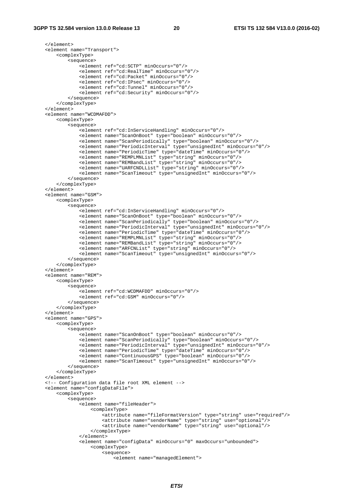</element> <element name="Transport"> <complexType> <sequence> <element ref="cd:SCTP" minOccurs="0"/> <element ref="cd:RealTime" minOccurs="0"/> <element ref="cd:Packet" minOccurs="0"/> <element ref="cd:IPsec" minOccurs="0"/> <element ref="cd:Tunnel" minOccurs="0"/> <element ref="cd:Security" minOccurs="0"/> </sequence> </complexType> </element> <element name="WCDMAFDD"> <complexType> <sequence> <element ref="cd:InServiceHandling" minOccurs="0"/> <element name="ScanOnBoot" type="boolean" minOccurs="0"/> <element name="ScanPeriodically" type="boolean" minOccurs="0"/> <element name="PeriodicInterval" type="unsignedInt" minOccurs="0"/> <element name="PeriodicTime" type="dateTime" minOccurs="0"/> <element name="REMPLMNList" type="string" minOccurs="0"/> <element name="REMBandList" type="string" minOccurs="0"/> <element name="UARFCNDLList" type="string" minOccurs="0"/> <element name="ScanTimeout" type="unsignedInt" minOccurs="0"/> </sequence> </complexType> </element> <element name="GSM"> <complexType> <sequence> <element ref="cd:InServiceHandling" minOccurs="0"/> <element name="ScanOnBoot" type="boolean" minOccurs="0"/> <element name="ScanPeriodically" type="boolean" minOccurs="0"/> <element name="PeriodicInterval" type="unsignedInt" minOccurs="0"/> <element name="PeriodicTime" type="dateTime" minOccurs="0"/> <element name="REMPLMNList" type="string" minOccurs="0"/> <element name="REMBandList" type="string" minOccurs="0"/> <element name="ARFCNList" type="string" minOccurs="0"/> <element name="ScanTimeout" type="unsignedInt" minOccurs="0"/> </sequence> </complexType> </element> <element name="REM"> <complexType> <sequence> <element ref="cd:WCDMAFDD" minOccurs="0"/> <element ref="cd:GSM" minOccurs="0"/> </sequence> </complexType> </element> <element name="GPS"> <complexType> <sequence> <element name="ScanOnBoot" type="boolean" minOccurs="0"/> <element name="ScanPeriodically" type="boolean" minOccurs="0"/> <element name="PeriodicInterval" type="unsignedInt" minOccurs="0"/> <element name="PeriodicTime" type="dateTime" minOccurs="0"/> <element name="ContinuousGPS" type="boolean" minOccurs="0"/> <element name="ScanTimeout" type="unsignedInt" minOccurs="0"/> </sequence> </complexType> </element> <!-- Configuration data file root XML element --> <element name="configDataFile"> <complexType> <sequence> <element name="fileHeader"> <complexType> <attribute name="fileFormatVersion" type="string" use="required"/> <attribute name="senderName" type="string" use="optional"/> <attribute name="vendorName" type="string" use="optional"/> </complexType> </element> <element name="configData" minOccurs="0" maxOccurs="unbounded"> <complexType> <sequence>

```
 <element name="managedElement">
```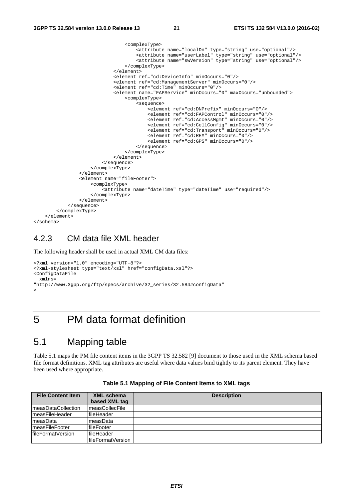```
 <complexType> 
                                        <attribute name="localDn" type="string" use="optional"/> 
                                        <attribute name="userLabel" type="string" use="optional"/> 
                                        <attribute name="swVersion" type="string" use="optional"/> 
                                    </complexType> 
                               </element> 
                               <element ref="cd:DeviceInfo" minOccurs="0"/> 
                               <element ref="cd:ManagementServer" minOccurs="0"/> 
                               <element ref="cd:Time" minOccurs="0"/> 
                               <element name="FAPService" minOccurs="0" maxOccurs="unbounded"> 
                                    <complexType> 
                                        <sequence> 
                                            <element ref="cd:DNPrefix" minOccurs="0"/> 
                                            <element ref="cd:FAPControl" minOccurs="0"/> 
                                            <element ref="cd:AccessMgmt" minOccurs="0"/> 
                                            <element ref="cd:CellConfig" minOccurs="0"/> 
                                            <element ref="cd:Transport" minOccurs="0"/> 
                                            <element ref="cd:REM" minOccurs="0"/> 
                                            <element ref="cd:GPS" minOccurs="0"/> 
                                        </sequence> 
                                    </complexType> 
                               </element> 
                           </sequence> 
                      </complexType> 
                  </element> 
                  <element name="fileFooter"> 
                      <complexType> 
                           <attribute name="dateTime" type="dateTime" use="required"/> 
                      </complexType> 
                 \epsilon/element>
              </sequence> 
         </complexType> 
     </element> 
</schema>
```
#### 4.2.3 CM data file XML header

The following header shall be used in actual XML CM data files:

```
<?xml version="1.0" encoding="UTF-8"?> 
<?xml-stylesheet type="text/xsl" href="configData.xsl"?> 
<ConfigDataFile 
  xmlns= 
"http://www.3gpp.org/ftp/specs/archive/32_series/32.584#configData" 
>
```
## 5 PM data format definition

#### 5.1 Mapping table

Table 5.1 maps the PM file content items in the 3GPP TS 32.582 [9] document to those used in the XML schema based file format definitions. XML tag attributes are useful where data values bind tightly to its parent element. They have been used where appropriate.

| <b>File Content Item</b>   | <b>XML schema</b>      | <b>Description</b> |
|----------------------------|------------------------|--------------------|
|                            | based XML tag          |                    |
| <b>ImeasDataCollection</b> | <b>ImeasCollecFile</b> |                    |
| ImeasFileHeader            | lfileHeader            |                    |
| ImeasData                  | ImeasData              |                    |
| ImeasFileFooter            | <b>IfileFooter</b>     |                    |
| lfileFormatVersion         | lfileHeader            |                    |
|                            | lfileFormatVersion     |                    |

**Table 5.1 Mapping of File Content Items to XML tags**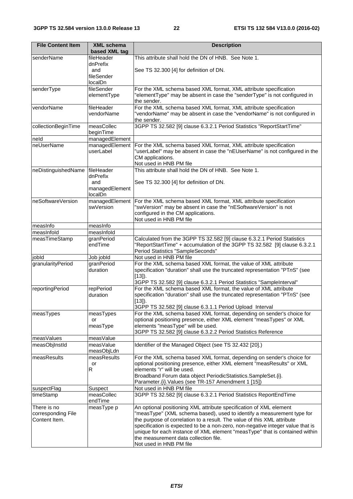| <b>File Content Item</b> | <b>XML schema</b>         | <b>Description</b>                                                                                                                                   |
|--------------------------|---------------------------|------------------------------------------------------------------------------------------------------------------------------------------------------|
|                          | based XML tag             |                                                                                                                                                      |
| senderName               | fileHeader                | This attribute shall hold the DN of HNB. See Note 1.                                                                                                 |
|                          | dnPrefix                  |                                                                                                                                                      |
|                          | and<br>fileSender         | See TS 32.300 [4] for definition of DN.                                                                                                              |
|                          | localDn                   |                                                                                                                                                      |
| senderType               | fileSender                | For the XML schema based XML format, XML attribute specification                                                                                     |
|                          | elementType               | "elementType" may be absent in case the "senderType" is not configured in                                                                            |
|                          |                           | the sender.                                                                                                                                          |
| vendorName               | fileHeader                | For the XML schema based XML format, XML attribute specification                                                                                     |
|                          | vendorName                | "vendorName" may be absent in case the "vendorName" is not configured in                                                                             |
|                          | measCollec                | the sender.                                                                                                                                          |
| collectionBeginTime      | beginTime                 | 3GPP TS 32.582 [9] clause 6.3.2.1 Period Statistics "ReportStartTime"                                                                                |
| neld                     | managedElement            |                                                                                                                                                      |
| neUserName               | managedElement            | For the XML schema based XML format, XML attribute specification                                                                                     |
|                          | userLabel                 | "userLabel" may be absent in case the "nEUserName" is not configured in the                                                                          |
|                          |                           | CM applications.                                                                                                                                     |
|                          |                           | Not used in HNB PM file                                                                                                                              |
| neDistinguishedName      | fileHeader                | This attribute shall hold the DN of HNB. See Note 1.                                                                                                 |
|                          | dnPrefix                  |                                                                                                                                                      |
|                          | and<br>managedElement     | See TS 32.300 [4] for definition of DN.                                                                                                              |
|                          | localDn                   |                                                                                                                                                      |
| neSoftwareVersion        | managedElement            | For the XML schema based XML format, XML attribute specification                                                                                     |
|                          | swVersion                 | "swVersion" may be absent in case the "nESoftwareVersion" is not                                                                                     |
|                          |                           | configured in the CM applications.                                                                                                                   |
|                          |                           | Not used in HNB PM file                                                                                                                              |
| measInfo                 | measInfo                  |                                                                                                                                                      |
| measInfold               | measInfold                |                                                                                                                                                      |
| measTimeStamp            | granPeriod<br>endTime     | Calculated from the 3GPP TS 32.582 [9] clause 6.3.2.1 Period Statistics<br>"ReportStartTime" + accumulation of the 3GPP TS 32.582 [9] clause 6.3.2.1 |
|                          |                           | Period Statistics "SampleSeconds"                                                                                                                    |
| jobld                    | Job jobld                 | Not used in HNB PM file                                                                                                                              |
| granularityPeriod        | granPeriod                | For the XML schema based XML format, the value of XML attribute                                                                                      |
|                          | duration                  | specification "duration" shall use the truncated representation "PTnS" (see                                                                          |
|                          |                           | $[13]$ ).                                                                                                                                            |
|                          |                           | 3GPP TS 32.582 [9] clause 6.3.2.1 Period Statistics "SampleInterval"                                                                                 |
| reportingPeriod          | repPeriod                 | For the XML schema based XML format, the value of XML attribute                                                                                      |
|                          | duration                  | specification "duration" shall use the truncated representation "PTnS" (see<br>[13]).                                                                |
|                          |                           | 3GPP TS 32.582 [9] clause 6.3.1.1 Period Upload Interval                                                                                             |
| measTypes                | measTypes                 | For the XML schema based XML format, depending on sender's choice for                                                                                |
|                          | or                        | optional positioning presence, either XML element "measTypes" or XML                                                                                 |
|                          | measType                  | elements "measType" will be used.                                                                                                                    |
|                          |                           | 3GPP TS 32.582 [9] clause 6.3.2.2 Period Statistics Reference                                                                                        |
| measValues               | measValue                 |                                                                                                                                                      |
| measObjInstId            | measValue                 | Identifier of the Managed Object (see TS 32.432 [20].)                                                                                               |
| measResults              | measObjLdn<br>measResults | For the XML schema based XML format, depending on sender's choice for                                                                                |
|                          | or                        | optional positioning presence, either XML element "measResults" or XML                                                                               |
|                          | R                         | elements "r" will be used.                                                                                                                           |
|                          |                           | Broadband Forum data object PeriodicStatistics.SampleSet.{i}.                                                                                        |
|                          |                           | Parameter. {i}. Values (see TR-157 Amendment 1 [15])                                                                                                 |
| suspectFlag              | Suspect                   | Not used in HNB PM file                                                                                                                              |
| timeStamp                | measCollec                | 3GPP TS 32.582 [9] clause 6.3.2.1 Period Statistics ReportEndTime                                                                                    |
| There is no              | endTime                   | An optional positioning XML attribute specification of XML element                                                                                   |
| corresponding File       | measType p                | "measType" (XML schema based), used to identify a measurement type for                                                                               |
| Content Item.            |                           | the purpose of correlation to a result. The value of this XML attribute                                                                              |
|                          |                           | specification is expected to be a non-zero, non-negative integer value that is                                                                       |
|                          |                           | unique for each instance of XML element "measType" that is contained within                                                                          |
|                          |                           | the measurement data collection file.                                                                                                                |
|                          |                           | Not used in HNB PM file                                                                                                                              |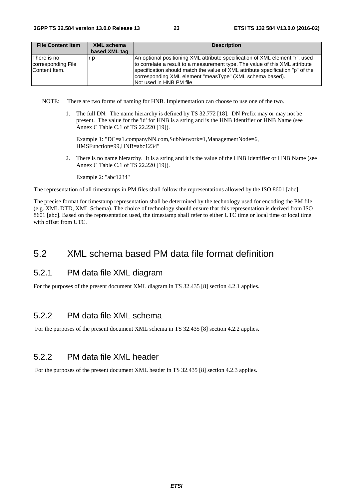| <b>File Content Item</b>                            | <b>XML schema</b> | <b>Description</b>                                                                                                                                                                                                                                                                                                                     |
|-----------------------------------------------------|-------------------|----------------------------------------------------------------------------------------------------------------------------------------------------------------------------------------------------------------------------------------------------------------------------------------------------------------------------------------|
|                                                     | based XML tag     |                                                                                                                                                                                                                                                                                                                                        |
| lThere is no<br>corresponding File<br>Content Item. | r p               | An optional positioning XML attribute specification of XML element "r", used<br>to correlate a result to a measurement type. The value of this XML attribute<br>specification should match the value of XML attribute specification "p" of the<br>corresponding XML element "measType" (XML schema based).<br>INot used in HNB PM file |

NOTE: There are two forms of naming for HNB. Implementation can choose to use one of the two.

1. The full DN: The name hierarchy is defined by TS 32.772 [18]. DN Prefix may or may not be present. The value for the 'id' for HNB is a string and is the HNB Identifier or HNB Name (see Annex C Table C.1 of TS 22.220 [19]).

Example 1: "DC=a1.companyNN.com,SubNetwork=1,ManagementNode=6, HMSFunction=99,HNB=abc1234"

2. There is no name hierarchy. It is a string and it is the value of the HNB Identifier or HNB Name (see Annex C Table C.1 of TS 22.220 [19]).

Example 2: "abc1234"

The representation of all timestamps in PM files shall follow the representations allowed by the ISO 8601 [abc].

The precise format for timestamp representation shall be determined by the technology used for encoding the PM file (e.g. XML DTD, XML Schema). The choice of technology should ensure that this representation is derived from ISO 8601 [abc]. Based on the representation used, the timestamp shall refer to either UTC time or local time or local time with offset from UTC.

#### 5.2 XML schema based PM data file format definition

#### 5.2.1 PM data file XML diagram

For the purposes of the present document XML diagram in TS 32.435 [8] section 4.2.1 applies.

#### 5.2.2 PM data file XML schema

For the purposes of the present document XML schema in TS 32.435 [8] section 4.2.2 applies.

#### 5.2.2 PM data file XML header

For the purposes of the present document XML header in TS 32.435 [8] section 4.2.3 applies.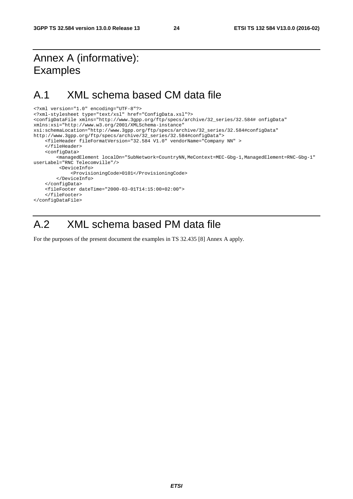# Annex A (informative): Examples

# A.1 XML schema based CM data file

```
<?xml version="1.0" encoding="UTF-8"?> 
<?xml-stylesheet type="text/xsl" href="ConfigData.xsl"?> 
<configDataFile xmlns="http://www.3gpp.org/ftp/specs/archive/32_series/32.584# onfigData" 
xmlns:xsi="http://www.w3.org/2001/XMLSchema-instance" 
xsi:schemaLocation="http://www.3gpp.org/ftp/specs/archive/32_series/32.584#configData" 
http://www.3gpp.org/ftp/specs/archive/32_series/32.584#configData"> 
     <fileHeader fileFormatVersion="32.584 V1.0" vendorName="Company NN" > 
     </fileHeader> 
     <configData> 
         <managedElement localDn="SubNetwork=CountryNN,MeContext=MEC-Gbg-1,ManagedElement=RNC-Gbg-1" 
userLabel="RNC Telecomville"/> 
          <DeviceInfo> 
              <ProvisioningCode>0101</ProvisioningCode> 
         </DeviceInfo> 
     </configData> 
     <fileFooter dateTime="2000-03-01T14:15:00+02:00"> 
     </fileFooter> 
</configDataFile>
```
# A.2 XML schema based PM data file

For the purposes of the present document the examples in TS 32.435 [8] Annex A apply.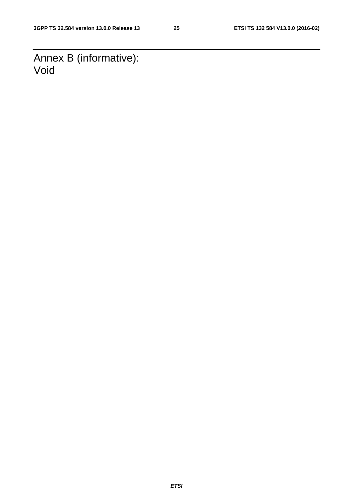Annex B (informative): Void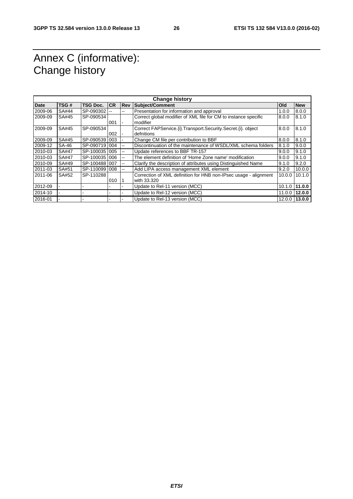# Annex C (informative): Change history

| <b>Change history</b> |              |                 |           |                          |                                                                   |        |               |
|-----------------------|--------------|-----------------|-----------|--------------------------|-------------------------------------------------------------------|--------|---------------|
| <b>Date</b>           | TSG#         | <b>TSG Doc.</b> | <b>CR</b> | <b>Rev</b>               | <b>Subject/Comment</b>                                            | Old    | <b>New</b>    |
| 2009-06               | <b>SA#44</b> | SP-090302 -     |           | $\overline{a}$           | Presentation for information and approval                         | 1.0.0  | 8.0.0         |
| 2009-09               | SA#45        | SP-090534       |           |                          | Correct global modifier of XML file for CM to instance specific   | 8.0.0  | 8.1.0         |
|                       |              |                 | 001       |                          | modifier                                                          |        |               |
| 2009-09               | SA#45        | SP-090534       |           |                          | Correct FAPService. (i). Transport. Security. Secret. (i). object | 8.0.0  | 8.1.0         |
|                       |              |                 | 002       |                          | defnitions                                                        |        |               |
| 2009-09               | SA#45        | SP-090539 003   |           |                          | Change CM file per contribution to BBF                            | 8.0.0  | 8.1.0         |
| 2009-12               | SA-46        | SP-090719 004   |           | --                       | Discontinuation of the maintenance of WSDL/XML schema folders     | 8.1.0  | 9.0.0         |
| 2010-03               | SA#47        | SP-100035 005   |           | н.                       | Update references to BBF TR-157                                   | 9.0.0  | 9.1.0         |
| 2010-03               | <b>SA#47</b> | SP-100035 006   |           | --                       | The element definition of 'Home Zone name' modification           | 9.0.0  | 9.1.0         |
| 2010-09               | SA#49        | SP-100488 007   |           | $\overline{a}$           | Clarify the description of attributes using Distinguished Name    | 9.1.0  | 9.2.0         |
| 2011-03               | SA#51        | SP-110099 008   |           | $\overline{\phantom{a}}$ | Add LIPA access management XML element                            | 9.2.0  | 10.0.0        |
| 2011-06               | SA#52        | SP-110288       |           |                          | Correction of XML definition for HNB non-IPsec usage - alignment  | 10.0.0 | 10.1.0        |
|                       |              |                 | 010       |                          | with 33.320                                                       |        |               |
| 2012-09               |              |                 |           |                          | Update to Rel-11 version (MCC)                                    |        | 10.1.0 11.0.0 |
| 2014-10               |              |                 |           |                          | Update to Rel-12 version (MCC)                                    |        | 11.0.0 12.0.0 |
| 2016-01               |              |                 |           |                          | Update to Rel-13 version (MCC)                                    |        | 12.0.0 13.0.0 |